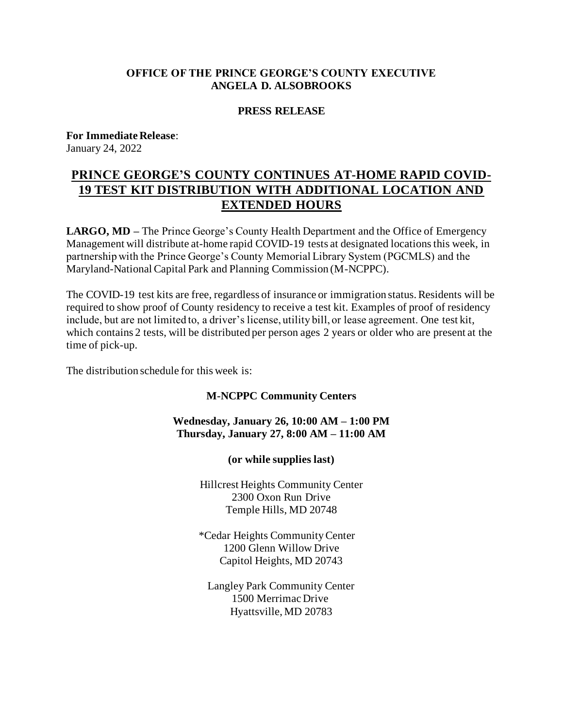# **OFFICE OF THE PRINCE GEORGE'S COUNTY EXECUTIVE ANGELA D. ALSOBROOKS**

## **PRESS RELEASE**

**For Immediate Release**: January 24, 2022

# **PRINCE GEORGE'S COUNTY CONTINUES AT-HOME RAPID COVID-19 TEST KIT DISTRIBUTION WITH ADDITIONAL LOCATION AND EXTENDED HOURS**

**LARGO, MD** – The Prince George's County Health Department and the Office of Emergency Management will distribute at-home rapid COVID-19 tests at designated locations this week, in partnership with the Prince George's County Memorial Library System (PGCMLS) and the Maryland-National Capital Park and Planning Commission (M-NCPPC).

The COVID-19 test kits are free, regardless of insurance or immigration status. Residents will be required to show proof of County residency to receive a test kit. Examples of proof of residency include, but are not limited to, a driver's license, utility bill, or lease agreement. One test kit, which contains 2 tests, will be distributed per person ages 2 years or older who are present at the time of pick-up.

The distribution schedule for this week is:

**M-NCPPC Community Centers**

# **Wednesday, January 26, 10:00 AM – 1:00 PM Thursday, January 27, 8:00 AM – 11:00 AM**

**(or while supplies last)**

Hillcrest Heights Community Center 2300 Oxon Run Drive Temple Hills, MD 20748

\*Cedar Heights Community Center 1200 Glenn Willow Drive Capitol Heights, MD 20743

Langley Park Community Center 1500 Merrimac Drive Hyattsville, MD 20783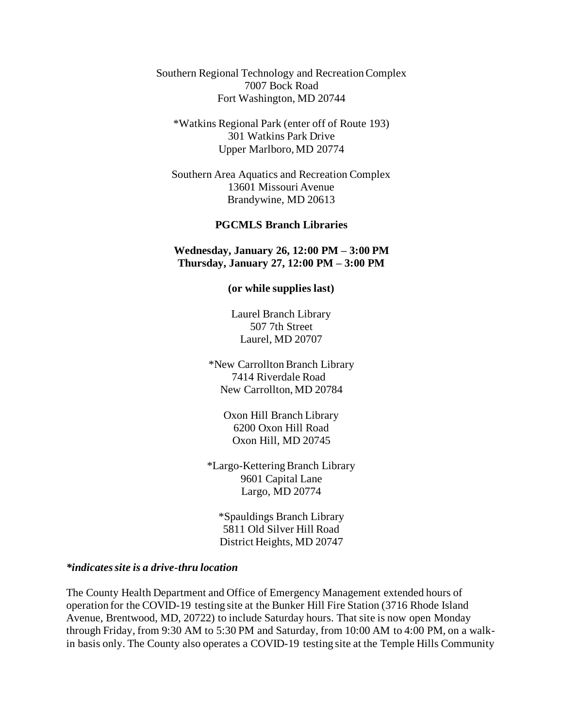Southern Regional Technology and Recreation Complex 7007 Bock Road Fort Washington, MD 20744

\*Watkins Regional Park (enter off of Route 193) 301 Watkins Park Drive Upper Marlboro, MD 20774

Southern Area Aquatics and Recreation Complex 13601 Missouri Avenue Brandywine, MD 20613

#### **PGCMLS Branch Libraries**

#### **Wednesday, January 26, 12:00 PM – 3:00 PM Thursday, January 27, 12:00 PM – 3:00 PM**

**(or while supplies last)**

Laurel Branch Library 507 7th Street Laurel, MD 20707

\*New CarrolltonBranch Library 7414 Riverdale Road New Carrollton, MD 20784

Oxon Hill Branch Library 6200 Oxon Hill Road Oxon Hill, MD 20745

\*Largo-Kettering Branch Library 9601 Capital Lane Largo, MD 20774

\*Spauldings Branch Library 5811 Old Silver Hill Road District Heights, MD 20747

### *\*indicates site is a drive-thru location*

The County Health Department and Office of Emergency Management extended hours of operation for the COVID-19 testing site at the Bunker Hill Fire Station (3716 Rhode Island Avenue, Brentwood, MD, 20722) to include Saturday hours. That site is now open Monday through Friday, from 9:30 AM to 5:30 PM and Saturday, from 10:00 AM to 4:00 PM, on a walkin basis only. The County also operates a COVID-19 testing site at the Temple Hills Community